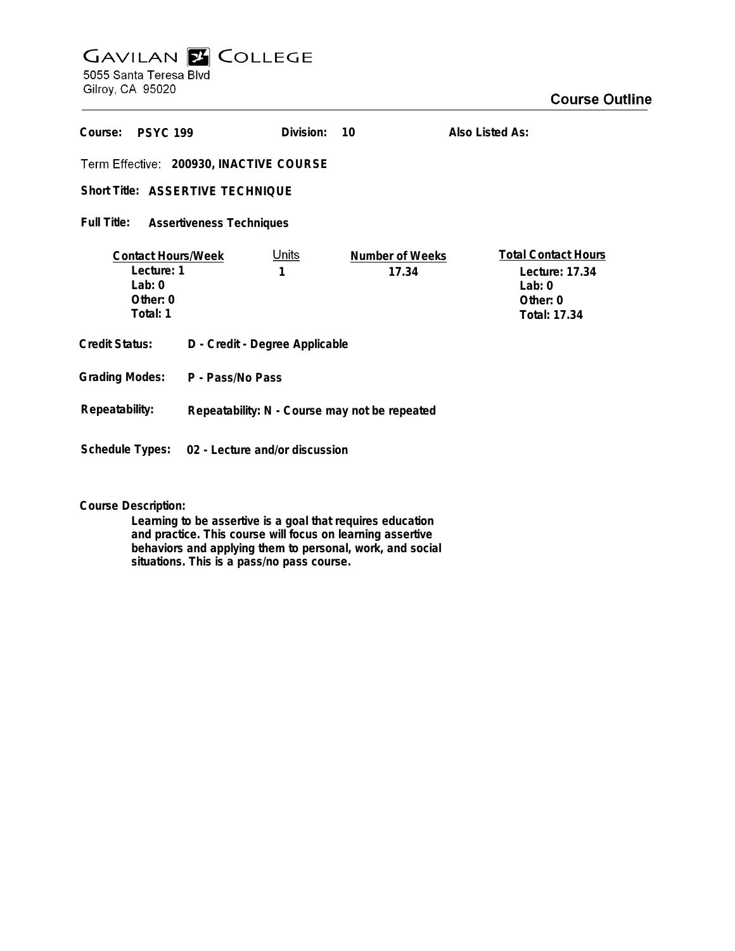## **GAVILAN E COLLEGE** 5055 Santa Teresa Blvd

Gilroy, CA 95020

| Course:<br><b>PSYC 199</b>                                                  |                                                | Division:         | 10                       | Also Listed As:                                                                       |
|-----------------------------------------------------------------------------|------------------------------------------------|-------------------|--------------------------|---------------------------------------------------------------------------------------|
| Term Effective: 200930, INACTIVE COURSE<br>Short Title: ASSERTIVE TECHNIQUE |                                                |                   |                          |                                                                                       |
|                                                                             |                                                |                   |                          |                                                                                       |
| Full Title:<br><b>Assertiveness Techniques</b>                              |                                                |                   |                          |                                                                                       |
| <b>Contact Hours/Week</b><br>Lecture: 1<br>Lab: $0$<br>Other: 0<br>Total: 1 |                                                | <u>Units</u><br>1 | Number of Weeks<br>17.34 | <b>Total Contact Hours</b><br>Lecture: 17.34<br>$1$ ab: 0<br>Other: 0<br>Total: 17.34 |
| <b>Credit Status:</b>                                                       | D - Credit - Degree Applicable                 |                   |                          |                                                                                       |
| <b>Grading Modes:</b>                                                       | P - Pass/No Pass                               |                   |                          |                                                                                       |
| Repeatability:                                                              | Repeatability: N - Course may not be repeated  |                   |                          |                                                                                       |
|                                                                             | Schedule Types: 02 - Lecture and/or discussion |                   |                          |                                                                                       |

**Course Description:**

**Learning to be assertive is a goal that requires education and practice. This course will focus on learning assertive behaviors and applying them to personal, work, and social situations. This is a pass/no pass course.**